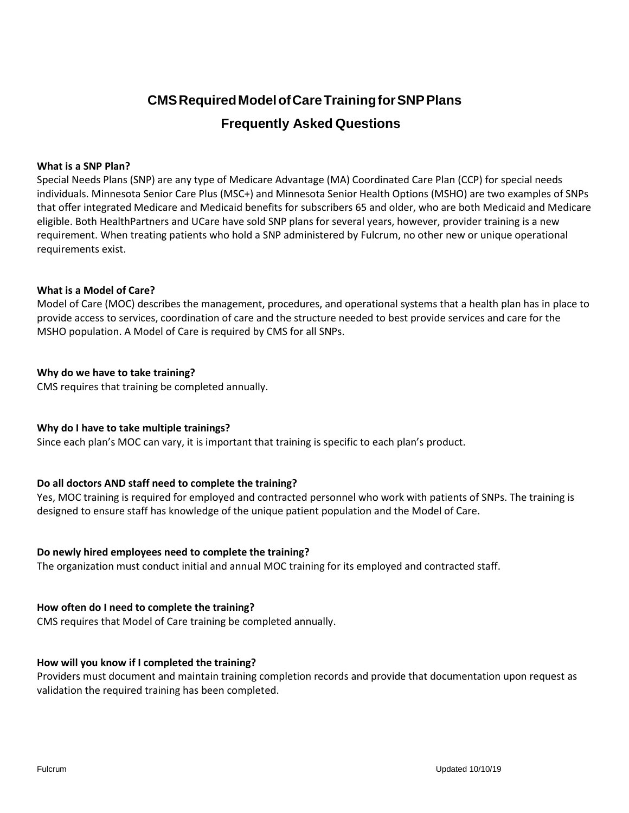# **CMSRequiredModelofCareTrainingforSNPPlans Frequently Asked Questions**

## **What is a SNP Plan?**

Special Needs Plans (SNP) are any type of Medicare Advantage (MA) Coordinated Care Plan (CCP) for special needs individuals. Minnesota Senior Care Plus (MSC+) and Minnesota Senior Health Options (MSHO) are two examples of SNPs that offer integrated Medicare and Medicaid benefits for subscribers 65 and older, who are both Medicaid and Medicare eligible. Both HealthPartners and UCare have sold SNP plans for several years, however, provider training is a new requirement. When treating patients who hold a SNP administered by Fulcrum, no other new or unique operational requirements exist.

## **What is a Model of Care?**

Model of Care (MOC) describes the management, procedures, and operational systems that a health plan has in place to provide access to services, coordination of care and the structure needed to best provide services and care for the MSHO population. A Model of Care is required by CMS for all SNPs.

# **Why do we have to take training?**

CMS requires that training be completed annually.

# **Why do I have to take multiple trainings?**

Since each plan's MOC can vary, it is important that training is specific to each plan's product.

# **Do all doctors AND staff need to complete the training?**

Yes, MOC training is required for employed and contracted personnel who work with patients of SNPs. The training is designed to ensure staff has knowledge of the unique patient population and the Model of Care.

#### **Do newly hired employees need to complete the training?**

The organization must conduct initial and annual MOC training for its employed and contracted staff.

# **How often do I need to complete the training?**

CMS requires that Model of Care training be completed annually.

#### **How will you know if I completed the training?**

Providers must document and maintain training completion records and provide that documentation upon request as validation the required training has been completed.